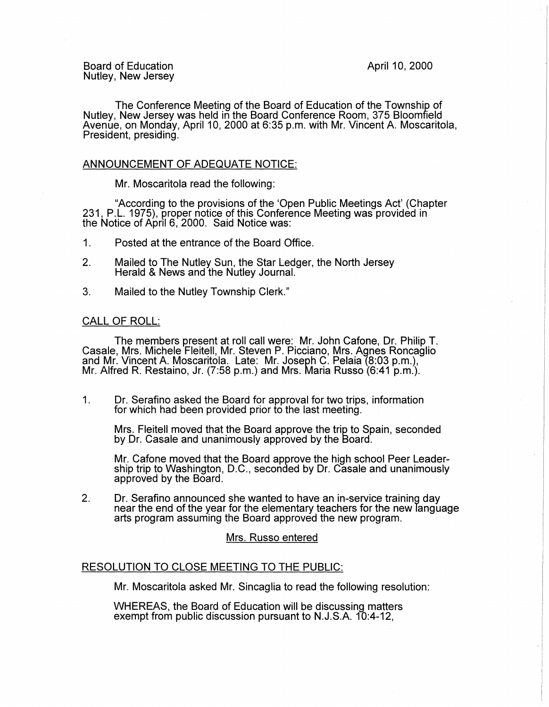Board of Education Nutley, New Jersey April 10, 2000

The Conference Meeting of the Board of Education of the Township of Nutley, New Jersey was held in the Board Conference Room, 375 Bloomfield Avenue, on Monday, April 10, 2000 at 6:35 p.m. with Mr. Vincent A. Moscaritola, President, presiding.

## ANNOUNCEMENT OF ADEQUATE NOTICE:

Mr. Moscaritola read the following:

"According to the provisions of the 'Open Public Meetings Act' (Chapter 231, P.L. 1975), proper notice of this Conference Meeting was provided in the Notice of April 6, 2000. Said Notice was:

- 1. Posted at the entrance of the Board Office.
- 2. Mailed to The Nutley Sun, the Star Ledger, the North Jersey Herald & News and the Nutley Journal.
- 3. Mailed to the Nutley Township Clerk."

#### CALL OF ROLL:

The members present at roll call were: Mr. John Catone, Dr. Philip T. Casale, Mrs. Michele Fleitell, Mr. Steven P. Picciano, Mrs. Agnes Roncaglio and Mr. Vincent A. Moscaritola. Late: Mr. Joseph C. Pelaia (8:03 p.m.), Mr. Alfred R. Restaino, Jr. (7:58 p.m.) and Mrs. Maria Russo (6:41 p.m.).

1. Dr. Serafino asked the Board for approval for two trips, information for which had been provided prior to the last meeting.

Mrs. Fleitell moved that the Board approve the trip to Spain, seconded by Dr. Casale and unanimously approved by the Board.

Mr. Catone moved that the Board approve the high school Peer Leadership trip to Washington, D.C., seconded by Dr. Casale and unanimously approved by the Board.

2. Dr. Serafino announced she wanted to have an in-service training day near the end of the year for the elementary teachers for the new language arts program assuming the Board approved the new program.

## Mrs. Russo entered

## RESOLUTION TO CLOSE MEETING TO THE PUBLIC:

Mr. Moscaritola asked Mr. Sincaglia to read the following resolution:

WHEREAS, the Board of Education will be discussing matters exempt from public discussion pursuant to N.J.S.A. 10:4-12,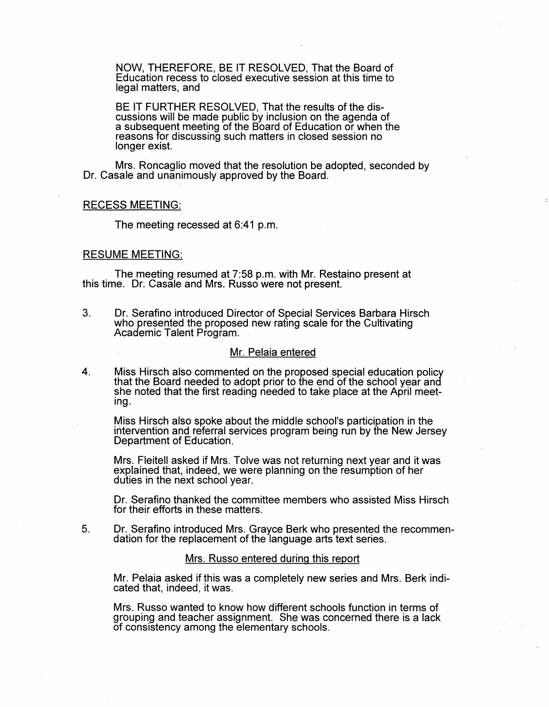NOW, THEREFORE, BE IT RESOLVED, That the Board of Education recess to closed executive session at this time to legal matters, and

BE IT FURTHER RESOLVED, That the results of the discussions will be made public by inclusion on the agenda of a subsequent meeting of the Board of Education or when the reasons for discussing such matters in closed session no longer exist.

Mrs. Roncaglio moved that the resolution be adopted, seconded by Dr. Casale and unanimously approved by the Board.

# RECESS MEETING:

The meeting recessed at 6:41 p.m.

#### RESUME MEETING:

The meeting resumed at 7:58 p.m. with Mr. Restaino present at this time. Dr. Casale and Mrs. Russo were not present.

3. Dr. Serafino introduced Director of Special Services Barbara Hirsch who presented the proposed new rating scale for the Cultivating Academic Talent Program. .

#### Mr. Pelaia entered

4. Miss Hirsch also commented on the proposed special education policy that the Board needed to adopt prior to the end of the school year and she noted that the first reading needed to take place at the April meeting.

Miss Hirsch also spoke about the middle school's participation in the intervention and referral services program being run by the New Jersey Department of Education.

Mrs. Fleitell asked if Mrs. Tolve was not returning next year and it was explained that, indeed, we were planning on the resumption of her duties in the next school year.

Dr. Serafino thanked the committee members who assisted Miss Hirsch for their efforts in these matters.

5. Dr. Serafino introduced Mrs. Grayce Berk who presented the recommendation for the replacement of the language arts text series.

# Mrs. Russo entered during this report

Mr. Pelaia asked if this was a completely new series and Mrs. Berk indicated that, indeed, it was.

Mrs. Russo wanted to know how different schools function in terms of grouping and teacher assignment. She was concerned there is a lack of consistency among the elementary schools.